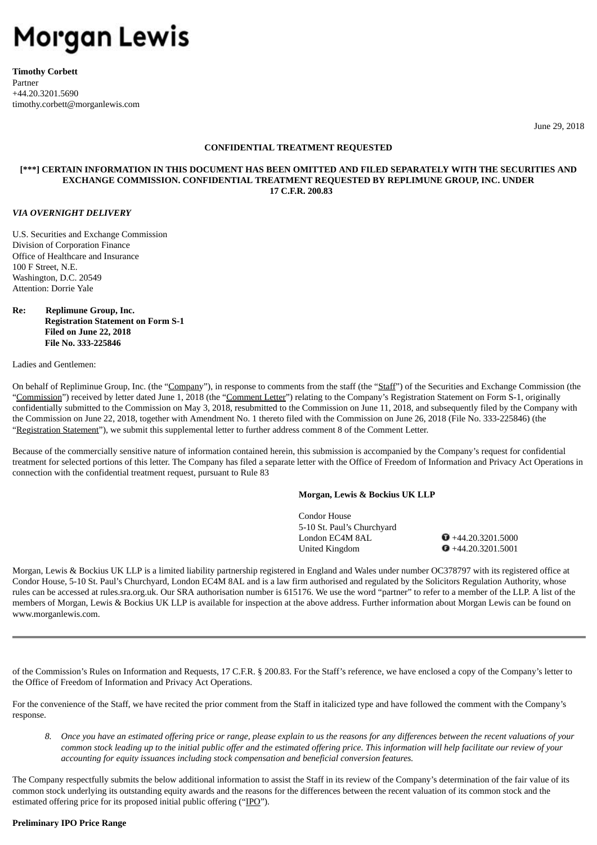# Morgan Lewis

**Timothy Corbett** Partner +44.20.3201.5690 timothy.corbett@morganlewis.com

June 29, 2018

# **CONFIDENTIAL TREATMENT REQUESTED**

# **[\*\*\*] CERTAIN INFORMATION IN THIS DOCUMENT HAS BEEN OMITTED AND FILED SEPARATELY WITH THE SECURITIES AND EXCHANGE COMMISSION. CONFIDENTIAL TREATMENT REQUESTED BY REPLIMUNE GROUP, INC. UNDER 17 C.F.R. 200.83**

## *VIA OVERNIGHT DELIVERY*

U.S. Securities and Exchange Commission Division of Corporation Finance Office of Healthcare and Insurance 100 F Street, N.E. Washington, D.C. 20549 Attention: Dorrie Yale

# **Re: Replimune Group, Inc. Registration Statement on Form S-1 Filed on June 22, 2018 File No. 333-225846**

Ladies and Gentlemen:

On behalf of Repliminue Group, Inc. (the "Company"), in response to comments from the staff (the "Staff") of the Securities and Exchange Commission (the "Commission") received by letter dated June 1, 2018 (the "Comment Letter") relating to the Company's Registration Statement on Form S-1, originally confidentially submitted to the Commission on May 3, 2018, resubmitted to the Commission on June 11, 2018, and subsequently filed by the Company with the Commission on June 22, 2018, together with Amendment No. 1 thereto filed with the Commission on June 26, 2018 (File No. 333-225846) (the "Registration Statement"), we submit this supplemental letter to further address comment 8 of the Comment Letter.

Because of the commercially sensitive nature of information contained herein, this submission is accompanied by the Company's request for confidential treatment for selected portions of this letter. The Company has filed a separate letter with the Office of Freedom of Information and Privacy Act Operations in connection with the confidential treatment request, pursuant to Rule 83

## **Morgan, Lewis & Bockius UK LLP**

Condor House 5-10 St. Paul's Churchyard London EC4M 8AL  $\bullet$  +44.20.3201.5000 United Kingdom  $\bullet$  +44.20.3201.5001

Morgan, Lewis & Bockius UK LLP is a limited liability partnership registered in England and Wales under number OC378797 with its registered office at Condor House, 5-10 St. Paul's Churchyard, London EC4M 8AL and is a law firm authorised and regulated by the Solicitors Regulation Authority, whose rules can be accessed at rules.sra.org.uk. Our SRA authorisation number is 615176. We use the word "partner" to refer to a member of the LLP. A list of the members of Morgan, Lewis & Bockius UK LLP is available for inspection at the above address. Further information about Morgan Lewis can be found on www.morganlewis.com.

of the Commission's Rules on Information and Requests, 17 C.F.R. § 200.83. For the Staff's reference, we have enclosed a copy of the Company's letter to the Office of Freedom of Information and Privacy Act Operations.

For the convenience of the Staff, we have recited the prior comment from the Staff in italicized type and have followed the comment with the Company's response.

8. Once you have an estimated offering price or range, please explain to us the reasons for any differences between the recent valuations of your common stock leading up to the initial public offer and the estimated offering price. This information will help facilitate our review of your *accounting for equity issuances including stock compensation and beneficial conversion features.*

The Company respectfully submits the below additional information to assist the Staff in its review of the Company's determination of the fair value of its common stock underlying its outstanding equity awards and the reasons for the differences between the recent valuation of its common stock and the estimated offering price for its proposed initial public offering ("IPO").

# **Preliminary IPO Price Range**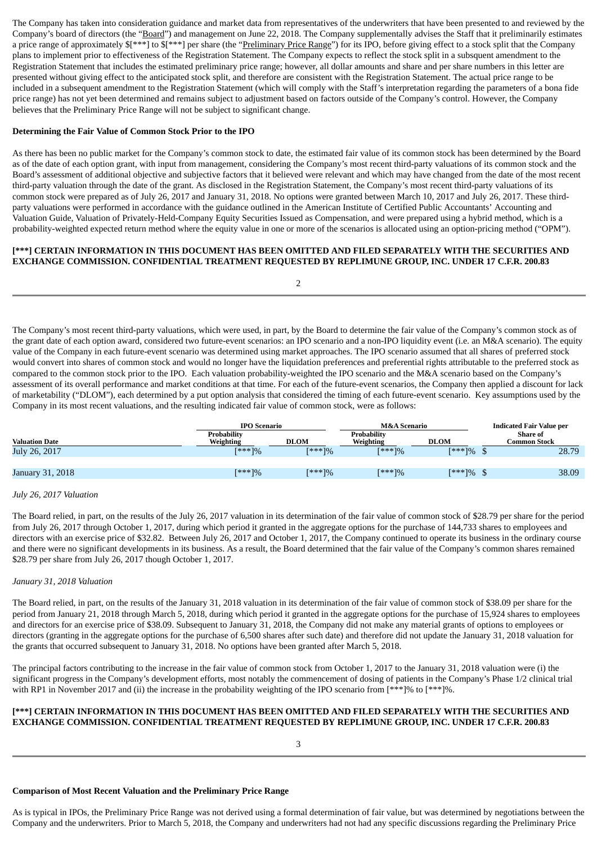The Company has taken into consideration guidance and market data from representatives of the underwriters that have been presented to and reviewed by the Company's board of directors (the "Board") and management on June 22, 2018. The Company supplementally advises the Staff that it preliminarily estimates a price range of approximately  $\frac{1}{2}$  and  $\frac{1}{2}$  and  $\frac{1}{2}$  per share (the "Preliminary Price Range") for its IPO, before giving effect to a stock split that the Company plans to implement prior to effectiveness of the Registration Statement. The Company expects to reflect the stock split in a subsquent amendment to the Registration Statement that includes the estimated preliminary price range; however, all dollar amounts and share and per share numbers in this letter are presented without giving effect to the anticipated stock split, and therefore are consistent with the Registration Statement. The actual price range to be included in a subsequent amendment to the Registration Statement (which will comply with the Staff's interpretation regarding the parameters of a bona fide price range) has not yet been determined and remains subject to adjustment based on factors outside of the Company's control. However, the Company believes that the Preliminary Price Range will not be subject to significant change.

#### **Determining the Fair Value of Common Stock Prior to the IPO**

As there has been no public market for the Company's common stock to date, the estimated fair value of its common stock has been determined by the Board as of the date of each option grant, with input from management, considering the Company's most recent third-party valuations of its common stock and the Board's assessment of additional objective and subjective factors that it believed were relevant and which may have changed from the date of the most recent third-party valuation through the date of the grant. As disclosed in the Registration Statement, the Company's most recent third-party valuations of its common stock were prepared as of July 26, 2017 and January 31, 2018. No options were granted between March 10, 2017 and July 26, 2017. These thirdparty valuations were performed in accordance with the guidance outlined in the American Institute of Certified Public Accountants' Accounting and Valuation Guide, Valuation of Privately-Held-Company Equity Securities Issued as Compensation, and were prepared using a hybrid method, which is a probability-weighted expected return method where the equity value in one or more of the scenarios is allocated using an option-pricing method ("OPM").

## **[\*\*\*] CERTAIN INFORMATION IN THIS DOCUMENT HAS BEEN OMITTED AND FILED SEPARATELY WITH THE SECURITIES AND EXCHANGE COMMISSION. CONFIDENTIAL TREATMENT REQUESTED BY REPLIMUNE GROUP, INC. UNDER 17 C.F.R. 200.83**

 $\overline{2}$ 

The Company's most recent third-party valuations, which were used, in part, by the Board to determine the fair value of the Company's common stock as of the grant date of each option award, considered two future-event scenarios: an IPO scenario and a non-IPO liquidity event (i.e. an M&A scenario). The equity value of the Company in each future-event scenario was determined using market approaches. The IPO scenario assumed that all shares of preferred stock would convert into shares of common stock and would no longer have the liquidation preferences and preferential rights attributable to the preferred stock as compared to the common stock prior to the IPO. Each valuation probability-weighted the IPO scenario and the M&A scenario based on the Company's assessment of its overall performance and market conditions at that time. For each of the future-event scenarios, the Company then applied a discount for lack of marketability ("DLOM"), each determined by a put option analysis that considered the timing of each future-event scenario. Key assumptions used by the Company in its most recent valuations, and the resulting indicated fair value of common stock, were as follows:

|                         | <b>IPO Scenario</b>             |             | M&A Scenario                    |                       | <b>Indicated Fair Value per</b> |  |
|-------------------------|---------------------------------|-------------|---------------------------------|-----------------------|---------------------------------|--|
| <b>Valuation Date</b>   | <b>Probability</b><br>Weighting | <b>DLOM</b> | <b>Probability</b><br>Weighting | <b>DLOM</b>           | Share of<br><b>Common Stock</b> |  |
| July 26, 2017           | [***]%                          | [***]%      | $[***]%$                        | [***]%                | 28.79                           |  |
|                         |                                 |             |                                 |                       |                                 |  |
| <b>January 31, 2018</b> | [***]%                          | [***]%      | $[***]%$                        | $[***] \%$ $^{\circ}$ | 38.09                           |  |

#### *July 26, 2017 Valuation*

The Board relied, in part, on the results of the July 26, 2017 valuation in its determination of the fair value of common stock of \$28.79 per share for the period from July 26, 2017 through October 1, 2017, during which period it granted in the aggregate options for the purchase of 144,733 shares to employees and directors with an exercise price of \$32.82. Between July 26, 2017 and October 1, 2017, the Company continued to operate its business in the ordinary course and there were no significant developments in its business. As a result, the Board determined that the fair value of the Company's common shares remained \$28.79 per share from July 26, 2017 though October 1, 2017.

#### *January 31, 2018 Valuation*

The Board relied, in part, on the results of the January 31, 2018 valuation in its determination of the fair value of common stock of \$38.09 per share for the period from January 21, 2018 through March 5, 2018, during which period it granted in the aggregate options for the purchase of 15,924 shares to employees and directors for an exercise price of \$38.09. Subsequent to January 31, 2018, the Company did not make any material grants of options to employees or directors (granting in the aggregate options for the purchase of 6,500 shares after such date) and therefore did not update the January 31, 2018 valuation for the grants that occurred subsequent to January 31, 2018. No options have been granted after March 5, 2018.

The principal factors contributing to the increase in the fair value of common stock from October 1, 2017 to the January 31, 2018 valuation were (i) the significant progress in the Company's development efforts, most notably the commencement of dosing of patients in the Company's Phase 1/2 clinical trial with RP1 in November 2017 and (ii) the increase in the probability weighting of the IPO scenario from [\*\*\*]% to [\*\*\*]%.

## **[\*\*\*] CERTAIN INFORMATION IN THIS DOCUMENT HAS BEEN OMITTED AND FILED SEPARATELY WITH THE SECURITIES AND EXCHANGE COMMISSION. CONFIDENTIAL TREATMENT REQUESTED BY REPLIMUNE GROUP, INC. UNDER 17 C.F.R. 200.83**

#### **Comparison of Most Recent Valuation and the Preliminary Price Range**

As is typical in IPOs, the Preliminary Price Range was not derived using a formal determination of fair value, but was determined by negotiations between the Company and the underwriters. Prior to March 5, 2018, the Company and underwriters had not had any specific discussions regarding the Preliminary Price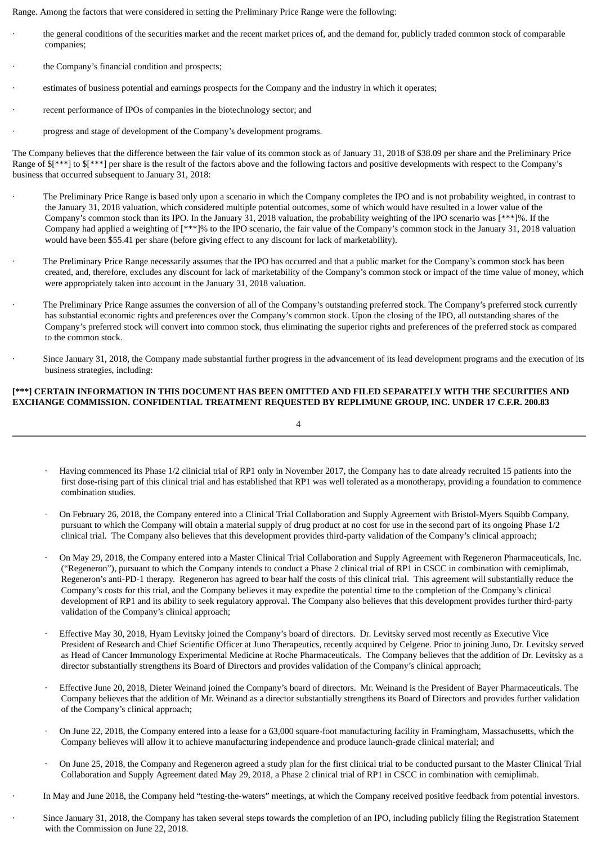Range. Among the factors that were considered in setting the Preliminary Price Range were the following:

- · the general conditions of the securities market and the recent market prices of, and the demand for, publicly traded common stock of comparable companies;
- the Company's financial condition and prospects;
- estimates of business potential and earnings prospects for the Company and the industry in which it operates;
- recent performance of IPOs of companies in the biotechnology sector; and
- progress and stage of development of the Company's development programs.

The Company believes that the difference between the fair value of its common stock as of January 31, 2018 of \$38.09 per share and the Preliminary Price Range of  $$[***]$  to  $$[***]$  per share is the result of the factors above and the following factors and positive developments with respect to the Company's business that occurred subsequent to January 31, 2018:

- The Preliminary Price Range is based only upon a scenario in which the Company completes the IPO and is not probability weighted, in contrast to the January 31, 2018 valuation, which considered multiple potential outcomes, some of which would have resulted in a lower value of the Company's common stock than its IPO. In the January 31, 2018 valuation, the probability weighting of the IPO scenario was [\*\*\*]%. If the Company had applied a weighting of [\*\*\*]% to the IPO scenario, the fair value of the Company's common stock in the January 31, 2018 valuation would have been \$55.41 per share (before giving effect to any discount for lack of marketability).
- The Preliminary Price Range necessarily assumes that the IPO has occurred and that a public market for the Company's common stock has been created, and, therefore, excludes any discount for lack of marketability of the Company's common stock or impact of the time value of money, which were appropriately taken into account in the January 31, 2018 valuation.
- The Preliminary Price Range assumes the conversion of all of the Company's outstanding preferred stock. The Company's preferred stock currently has substantial economic rights and preferences over the Company's common stock. Upon the closing of the IPO, all outstanding shares of the Company's preferred stock will convert into common stock, thus eliminating the superior rights and preferences of the preferred stock as compared to the common stock.
- Since January 31, 2018, the Company made substantial further progress in the advancement of its lead development programs and the execution of its business strategies, including:

# **[\*\*\*] CERTAIN INFORMATION IN THIS DOCUMENT HAS BEEN OMITTED AND FILED SEPARATELY WITH THE SECURITIES AND EXCHANGE COMMISSION. CONFIDENTIAL TREATMENT REQUESTED BY REPLIMUNE GROUP, INC. UNDER 17 C.F.R. 200.83**

4

- · Having commenced its Phase 1/2 clinicial trial of RP1 only in November 2017, the Company has to date already recruited 15 patients into the first dose-rising part of this clinical trial and has established that RP1 was well tolerated as a monotherapy, providing a foundation to commence combination studies.
- · On February 26, 2018, the Company entered into a Clinical Trial Collaboration and Supply Agreement with Bristol-Myers Squibb Company, pursuant to which the Company will obtain a material supply of drug product at no cost for use in the second part of its ongoing Phase 1/2 clinical trial. The Company also believes that this development provides third-party validation of the Company's clinical approach;
- · On May 29, 2018, the Company entered into a Master Clinical Trial Collaboration and Supply Agreement with Regeneron Pharmaceuticals, Inc. ("Regeneron"), pursuant to which the Company intends to conduct a Phase 2 clinical trial of RP1 in CSCC in combination with cemiplimab, Regeneron's anti-PD-1 therapy. Regeneron has agreed to bear half the costs of this clinical trial. This agreement will substantially reduce the Company's costs for this trial, and the Company believes it may expedite the potential time to the completion of the Company's clinical development of RP1 and its ability to seek regulatory approval. The Company also believes that this development provides further third-party validation of the Company's clinical approach;
- Effective May 30, 2018, Hyam Levitsky joined the Company's board of directors. Dr. Levitsky served most recently as Executive Vice President of Research and Chief Scientific Officer at Juno Therapeutics, recently acquired by Celgene. Prior to joining Juno, Dr. Levitsky served as Head of Cancer Immunology Experimental Medicine at Roche Pharmaceuticals. The Company believes that the addition of Dr. Levitsky as a director substantially strengthens its Board of Directors and provides validation of the Company's clinical approach;
- · Effective June 20, 2018, Dieter Weinand joined the Company's board of directors. Mr. Weinand is the President of Bayer Pharmaceuticals. The Company believes that the addition of Mr. Weinand as a director substantially strengthens its Board of Directors and provides further validation of the Company's clinical approach;
- · On June 22, 2018, the Company entered into a lease for a 63,000 square-foot manufacturing facility in Framingham, Massachusetts, which the Company believes will allow it to achieve manufacturing independence and produce launch-grade clinical material; and
- · On June 25, 2018, the Company and Regeneron agreed a study plan for the first clinical trial to be conducted pursant to the Master Clinical Trial Collaboration and Supply Agreement dated May 29, 2018, a Phase 2 clinical trial of RP1 in CSCC in combination with cemiplimab.

· In May and June 2018, the Company held "testing-the-waters" meetings, at which the Company received positive feedback from potential investors.

· Since January 31, 2018, the Company has taken several steps towards the completion of an IPO, including publicly filing the Registration Statement with the Commission on June 22, 2018.